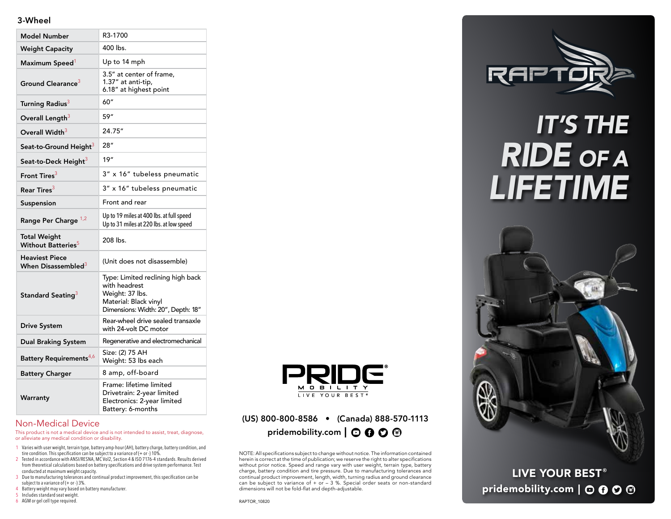#### 3-Wheel

| <b>Model Number</b>                                     | R3-1700                                                                                                                              |
|---------------------------------------------------------|--------------------------------------------------------------------------------------------------------------------------------------|
| <b>Weight Capacity</b>                                  | 400 lbs.                                                                                                                             |
| Maximum Speed <sup>1</sup>                              | Up to 14 mph                                                                                                                         |
| Ground Clearance <sup>3</sup>                           | 3.5" at center of frame.<br>1.37" at anti-tip,<br>6.18" at highest point                                                             |
| Turning Radius <sup>3</sup>                             | 60"                                                                                                                                  |
| Overall Length <sup>3</sup>                             | 59"                                                                                                                                  |
| Overall Width <sup>3</sup>                              | 24.75"                                                                                                                               |
| Seat-to-Ground Height <sup>3</sup>                      | 28''                                                                                                                                 |
| Seat-to-Deck Height <sup>3</sup>                        | 19"                                                                                                                                  |
| Front Tires <sup>3</sup>                                | 3" x 16" tubeless pneumatic                                                                                                          |
| Rear Tires $^3$                                         | 3" x 16" tubeless pneumatic                                                                                                          |
| Suspension                                              | Front and rear                                                                                                                       |
| Range Per Charge 1,2                                    | Up to 19 miles at 400 lbs. at full speed<br>Up to 31 miles at 220 lbs. at low speed                                                  |
| <b>Total Weight</b><br>Without Batteries <sup>5</sup>   | $208$ lbs.                                                                                                                           |
| <b>Heaviest Piece</b><br>When Disassembled <sup>3</sup> | (Unit does not disassemble)                                                                                                          |
| Standard Seating <sup>3</sup>                           | Type: Limited reclining high back<br>with headrest<br>Weight: 37 lbs.<br>Material: Black vinyl<br>Dimensions: Width: 20", Depth: 18" |
| <b>Drive System</b>                                     | Rear-wheel drive sealed transaxle<br>with 24-volt DC motor                                                                           |
| <b>Dual Braking System</b>                              | Regenerative and electromechanical                                                                                                   |
| Battery Requirements <sup>4,6</sup>                     | Size: (2) 75 AH<br>Weight: 53 lbs each                                                                                               |
| <b>Battery Charger</b>                                  | 8 amp, off-board                                                                                                                     |
| Warranty                                                | Frame: lifetime limited<br>Drivetrain: 2-year limited<br>Electronics: 2-year limited<br>Battery: 6-months                            |



This product is not a medical device and is not intended to assist, treat, diagnose, or alleviate any medical condition or disability.

- 1 Varies with user weight, terrain type, battery amp-hour (AH), battery charge, battery condition, and tire condition. This specification can be subject to a variance of (+ or -) 10%.
- 2 Tested in accordance with ANSI/RESNA, MC Vol2, Section 4 & ISO 7176-4 standards. Results derived from theoretical calculations based on battery specifications and drive system performance. Test conducted at maximum weight capacity.
- 3 Due to manufacturing tolerances and continual product improvement, this specification can be subject to a variance of (+ or -) 3%.
- 4 Battery weight may vary based on battery manufacturer. 5 Includes standard seat weight.
- 
- 6 AGM or gel cell type required.



### (US) 800-800-8586 • (Canada) 888-570-1113 pridemobility.com  $\mathbf{O} \mathbf{O} \mathbf{O} \mathbf{O}$

NOTE: All specifications subject to change without notice. The information contained herein is correct at the time of publication; we reserve the right to alter specifications without prior notice. Speed and range vary with user weight, terrain type, battery charge, battery condition and tire pressure. Due to manufacturing tolerances and continual product improvement, length, width, turning radius and ground clearance can be subject to variance of  $+$  or  $-$  3 %. Special order seats or non-standard dimensions will not be fold-flat and depth-adjustable.



## *IT'S THE RIDE OF A LIFETIME*



LIVE YOUR BEST<sup>®</sup> pridemobility.com | O O O ®